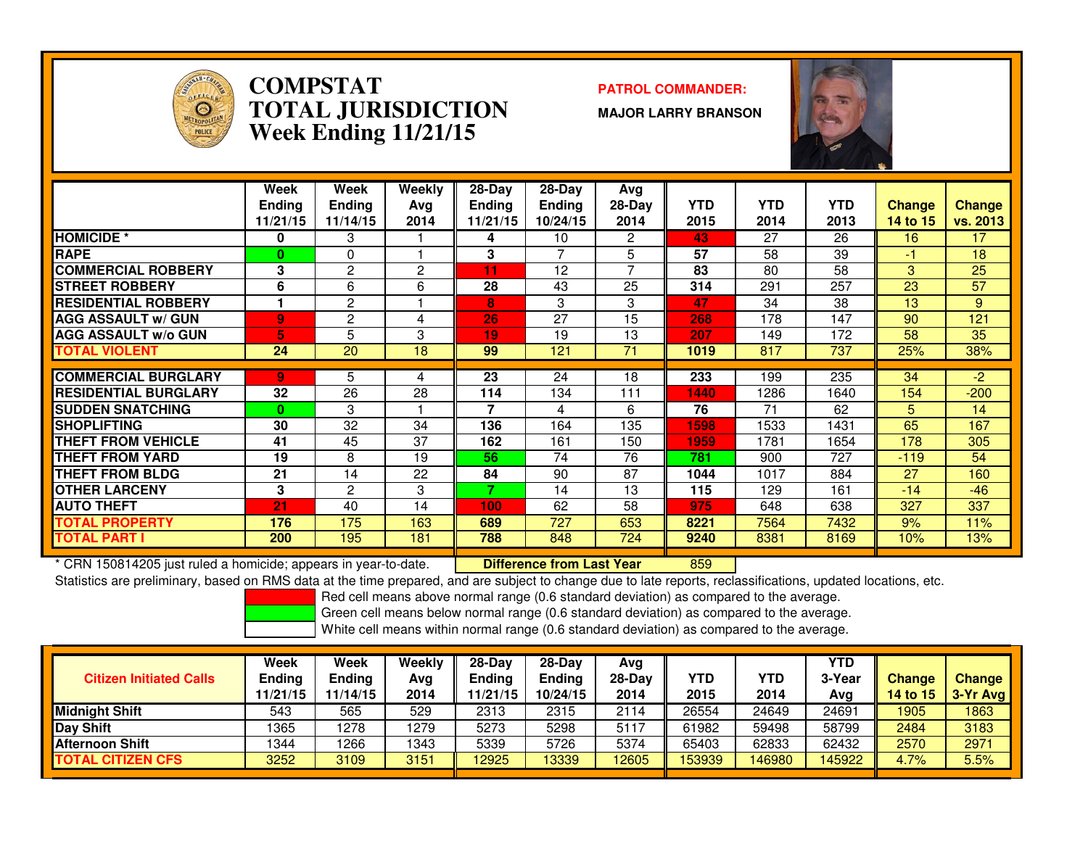

#### **COMPSTAT PATROL COMMANDER: TOTAL JURISDICTIONWeek Ending 11/21/15**

**MAJOR LARRY BRANSON**



|                             | Week<br><b>Ending</b><br>11/21/15 | Week<br><b>Ending</b><br>11/14/15 | Weekly<br>Avg<br>2014 | $28$ -Day<br><b>Ending</b><br>11/21/15 | 28-Day<br><b>Ending</b><br>10/24/15 | Avg<br>$28-Day$<br>2014 | <b>YTD</b><br>2015 | <b>YTD</b><br>2014 | <b>YTD</b><br>2013 | <b>Change</b><br>14 to 15 | <b>Change</b><br>vs. 2013 |
|-----------------------------|-----------------------------------|-----------------------------------|-----------------------|----------------------------------------|-------------------------------------|-------------------------|--------------------|--------------------|--------------------|---------------------------|---------------------------|
| <b>HOMICIDE</b> *           | 0                                 | 3                                 |                       | 4                                      | 10                                  | 2                       | 43                 | 27                 | 26                 | 16                        | 17                        |
| <b>RAPE</b>                 | $\bf{0}$                          | $\Omega$                          |                       | 3                                      | 7                                   | 5                       | 57                 | 58                 | 39                 | -1                        | 18                        |
| <b>COMMERCIAL ROBBERY</b>   | 3                                 | 2                                 | 2                     | 11                                     | 12                                  | 7                       | 83                 | 80                 | 58                 | 3                         | 25                        |
| <b>STREET ROBBERY</b>       | 6                                 | 6                                 | 6                     | 28                                     | 43                                  | 25                      | 314                | 291                | 257                | 23                        | 57                        |
| <b>RESIDENTIAL ROBBERY</b>  |                                   | $\overline{2}$                    |                       | 8                                      | 3                                   | 3                       | 47                 | 34                 | 38                 | 13                        | 9                         |
| <b>AGG ASSAULT w/ GUN</b>   | 9                                 | 2                                 | 4                     | 26                                     | 27                                  | 15                      | 268                | 178                | 147                | 90                        | 121                       |
| <b>AGG ASSAULT w/o GUN</b>  | 5.                                | 5                                 | 3                     | 19                                     | 19                                  | 13                      | 207                | 149                | 172                | 58                        | 35                        |
| <b>TOTAL VIOLENT</b>        | 24                                | 20                                | 18                    | 99                                     | 121                                 | 71                      | 1019               | 817                | 737                | 25%                       | 38%                       |
|                             |                                   |                                   |                       |                                        |                                     |                         |                    |                    |                    |                           |                           |
| <b>COMMERCIAL BURGLARY</b>  | 9                                 | 5                                 | 4                     | 23                                     | 24                                  | 18                      | 233                | 199                | 235                | 34                        | $-2$                      |
| <b>RESIDENTIAL BURGLARY</b> | 32                                | 26                                | 28                    | 114                                    | 134                                 | 111                     | 1440               | 1286               | 1640               | 154                       | $-200$                    |
| <b>SUDDEN SNATCHING</b>     | $\mathbf{0}$                      | 3                                 |                       | 7                                      | 4                                   | 6                       | 76                 | 71                 | 62                 | 5.                        | 14                        |
| <b>SHOPLIFTING</b>          | 30                                | 32                                | 34                    | 136                                    | 164                                 | 135                     | 1598               | 1533               | 1431               | 65                        | 167                       |
| THEFT FROM VEHICLE          | 41                                | 45                                | 37                    | 162                                    | 161                                 | 150                     | 1959               | 1781               | 1654               | 178                       | 305                       |
| <b>THEFT FROM YARD</b>      | 19                                | 8                                 | 19                    | 56                                     | 74                                  | 76                      | 781                | 900                | 727                | $-119$                    | 54                        |
| THEFT FROM BLDG             | 21                                | 14                                | 22                    | 84                                     | 90                                  | 87                      | 1044               | 1017               | 884                | 27                        | 160                       |
| <b>OTHER LARCENY</b>        | 3                                 | 2                                 | 3                     | ⇁                                      | 14                                  | 13                      | 115                | 129                | 161                | $-14$                     | $-46$                     |
| <b>AUTO THEFT</b>           | $\overline{21}$                   | 40                                | 14                    | 100                                    | 62                                  | 58                      | 975                | 648                | 638                | 327                       | 337                       |
| TOTAL PROPERTY              | 176                               | 175                               | 163                   | 689                                    | 727                                 | 653                     | 8221               | 7564               | 7432               | 9%                        | 11%                       |
| <b>TOTAL PART I</b>         | 200                               | 195                               | 181                   | 788                                    | 848                                 | 724                     | 9240               | 8381               | 8169               | 10%                       | 13%                       |

\* CRN 150814205 just ruled a homicide; appears in year-to-date. **Difference from Last Year**

<sup>859</sup>

Statistics are preliminary, based on RMS data at the time prepared, and are subject to change due to late reports, reclassifications, updated locations, etc.

Red cell means above normal range (0.6 standard deviation) as compared to the average.

Green cell means below normal range (0.6 standard deviation) as compared to the average.

| <b>Citizen Initiated Calls</b> | Week<br><b>Ending</b><br>11/21/15 | Week<br><b>Ending</b><br>11/14/15 | Weekly<br>Avg<br>2014 | $28-Dav$<br><b>Ending</b><br>11/21/15 | $28-Day$<br><b>Ending</b><br>10/24/15 | Avg<br>$28-Day$<br>2014 | YTD<br>2015 | YTD<br>2014 | <b>YTD</b><br>3-Year<br>Avg | <b>Change</b><br>14 to $15$ | <b>Change</b><br>$3-Yr$ Avg |
|--------------------------------|-----------------------------------|-----------------------------------|-----------------------|---------------------------------------|---------------------------------------|-------------------------|-------------|-------------|-----------------------------|-----------------------------|-----------------------------|
| <b>Midnight Shift</b>          | 543                               | 565                               | 529                   | 2313                                  | 2315                                  | 2114                    | 26554       | 24649       | 24691                       | 1905                        | 1863                        |
| Day Shift                      | 1365                              | 278                               | 1279                  | 5273                                  | 5298                                  | 5117                    | 61982       | 59498       | 58799                       | 2484                        | 3183                        |
| <b>Afternoon Shift</b>         | 1344                              | 266                               | 1343                  | 5339                                  | 5726                                  | 5374                    | 65403       | 62833       | 62432                       | 2570                        | 2971                        |
| <b>TOTAL CITIZEN CFS</b>       | 3252                              | 3109                              | 3151                  | 12925                                 | 13339                                 | 12605                   | 153939      | 146980      | 145922                      | 4.7%                        | 5.5%                        |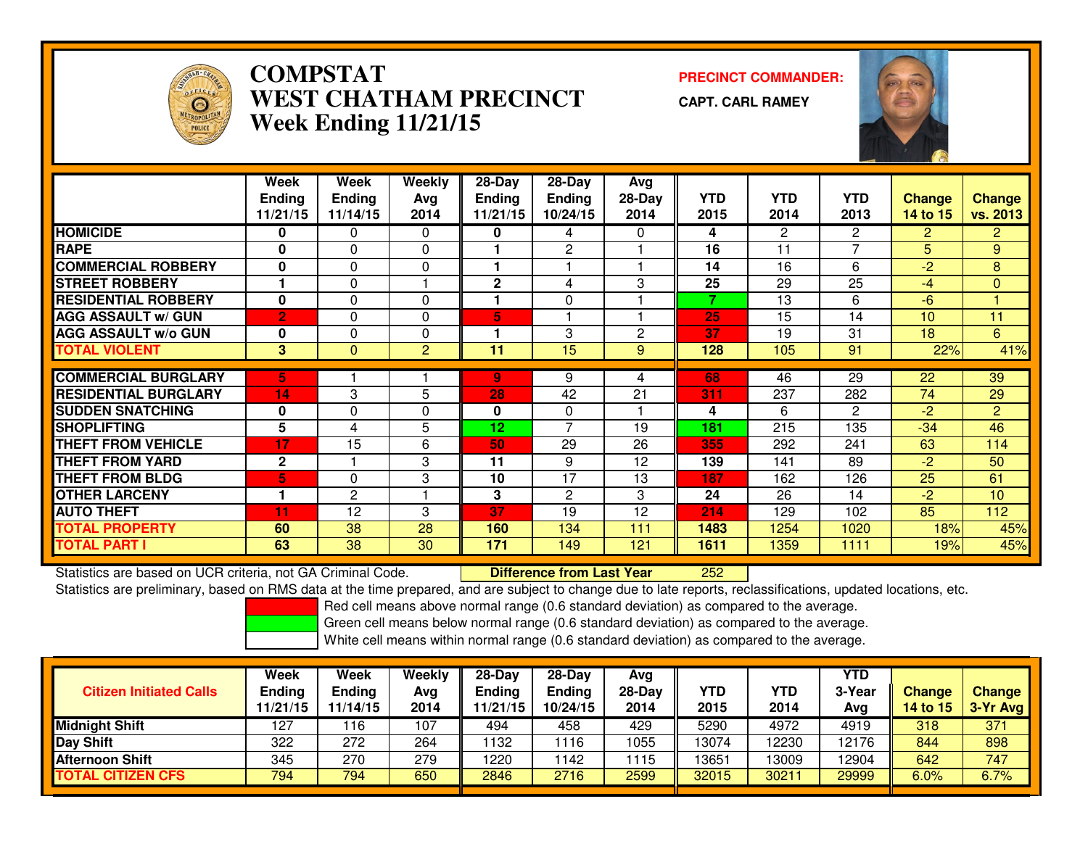

## **COMPSTAT PRECINCT COMMANDER: WEST CHATHAM PRECINCTWeek Ending 11/21/15**

**CAPT. CARL RAMEY**



|                             | Week           | Week           | <b>Weekly</b> | $28-Day$        | 28-Day         | Avg          |            |                       |                |                |                 |
|-----------------------------|----------------|----------------|---------------|-----------------|----------------|--------------|------------|-----------------------|----------------|----------------|-----------------|
|                             | <b>Ending</b>  | <b>Ending</b>  | Avg           | <b>Ending</b>   | Ending         | $28-Day$     | <b>YTD</b> | <b>YTD</b>            | <b>YTD</b>     | Change         | <b>Change</b>   |
|                             | 11/21/15       | 11/14/15       | 2014          | 11/21/15        | 10/24/15       | 2014         | 2015       | 2014                  | 2013           | 14 to 15       | <b>vs. 2013</b> |
| <b>HOMICIDE</b>             | 0              | 0              | $\Omega$      | 0               | 4              | 0            | 4          | $\mathbf{2}^{\prime}$ | $\mathbf{2}$   | $\overline{2}$ | 2 <sup>1</sup>  |
| <b>RAPE</b>                 | 0              | $\Omega$       | $\Omega$      |                 | $\mathbf{2}$   |              | 16         | 11                    | $\overline{ }$ | 5              | 9               |
| <b>COMMERCIAL ROBBERY</b>   | 0              | $\Omega$       | $\Omega$      | 1               |                |              | 14         | 16                    | 6              | $-2$           | 8               |
| <b>ISTREET ROBBERY</b>      |                | $\Omega$       |               | 2               | 4              | 3            | 25         | 29                    | 25             | $-4$           | $\overline{0}$  |
| <b>RESIDENTIAL ROBBERY</b>  | 0              | 0              | $\Omega$      | 1               | 0              |              | 7          | 13                    | 6              | $-6$           |                 |
| <b>AGG ASSAULT w/ GUN</b>   | $\overline{2}$ | 0              | $\Omega$      | 5               |                |              | 25         | 15                    | 14             | 10             | 11              |
| <b>AGG ASSAULT w/o GUN</b>  | 0              | $\Omega$       | $\Omega$      |                 | 3              | $\mathbf{2}$ | 37         | 19                    | 31             | 18             | 6               |
| <b>TOTAL VIOLENT</b>        | 3              | $\mathbf{0}$   | 2             | 11              | 15             | 9            | 128        | 105                   | 91             | 22%            | 41%             |
|                             |                |                |               |                 |                |              |            |                       |                |                |                 |
| <b>COMMERCIAL BURGLARY</b>  | 5.             |                |               | 9               | 9              | 4            | 68         | 46                    | 29             | 22             | 39              |
| <b>RESIDENTIAL BURGLARY</b> | 14             | 3              | 5             | 28              | 42             | 21           | 311        | 237                   | 282            | 74             | 29              |
| <b>SUDDEN SNATCHING</b>     | 0              | $\Omega$       | $\Omega$      | 0               | $\Omega$       |              | 4          | 6                     | $\mathbf{2}$   | $-2$           | $\overline{2}$  |
| <b>SHOPLIFTING</b>          | 5              | 4              | 5             | 12 <sub>1</sub> | $\overline{7}$ | 19           | 181        | 215                   | 135            | $-34$          | 46              |
| <b>THEFT FROM VEHICLE</b>   | 17             | 15             | 6             | 50              | 29             | 26           | 355        | 292                   | 241            | 63             | 114             |
| <b>THEFT FROM YARD</b>      | $\mathbf{2}$   |                | 3             | 11              | 9              | 12           | 139        | 141                   | 89             | $-2$           | 50              |
| <b>THEFT FROM BLDG</b>      | 5              | $\Omega$       | 3             | 10              | 17             | 13           | 187        | 162                   | 126            | 25             | 61              |
| <b>OTHER LARCENY</b>        | 1              | $\overline{2}$ |               | 3               | $\overline{2}$ | 3            | 24         | 26                    | 14             | $-2$           | 10              |
| <b>AUTO THEFT</b>           | 11             | 12             | 3             | 37              | 19             | 12           | 214        | 129                   | 102            | 85             | 112             |
| <b>TOTAL PROPERTY</b>       | 60             | 38             | 28            | 160             | 134            | 111          | 1483       | 1254                  | 1020           | 18%            | 45%             |
| <b>TOTAL PART I</b>         | 63             | 38             | 30            | 171             | 149            | 121          | 1611       | 1359                  | 1111           | 19%            | 45%             |

Statistics are based on UCR criteria, not GA Criminal Code. **Difference from Last Year**  <sup>252</sup>Statistics are preliminary, based on RMS data at the time prepared, and are subject to change due to late reports, reclassifications, updated locations, etc.

Red cell means above normal range (0.6 standard deviation) as compared to the average.

Green cell means below normal range (0.6 standard deviation) as compared to the average.

| <b>Citizen Initiated Calls</b> | Week<br><b>Ending</b><br>11/21/15 | Week<br><b>Ending</b><br>11/14/15 | Weekly<br>Avg<br>2014 | $28-Dav$<br>Ending<br>1/21/15 | $28-Day$<br><b>Ending</b><br>10/24/15 | Avg<br>$28-Day$<br>2014 | YTD<br>2015 | <b>YTD</b><br>2014 | YTD<br>3-Year<br>Avg | <b>Change</b><br>14 to 15 | <b>Change</b><br>3-Yr Avg |
|--------------------------------|-----------------------------------|-----------------------------------|-----------------------|-------------------------------|---------------------------------------|-------------------------|-------------|--------------------|----------------------|---------------------------|---------------------------|
| <b>Midnight Shift</b>          | 127                               | 16                                | 107                   | 494                           | 458                                   | 429                     | 5290        | 4972               | 4919                 | 318                       | 371                       |
| <b>Day Shift</b>               | 322                               | 272                               | 264                   | 132                           | 116                                   | 1055                    | 13074       | 12230              | 12176                | 844                       | 898                       |
| <b>Afternoon Shift</b>         | 345                               | 270                               | 279                   | 1220                          | 142                                   | 1115                    | 13651       | 3009               | 12904                | 642                       | 747                       |
| <b>TOTAL CITIZEN CFS</b>       | 794                               | 794                               | 650                   | 2846                          | 2716                                  | 2599                    | 32015       | 30211              | 29999                | 6.0%                      | 6.7%                      |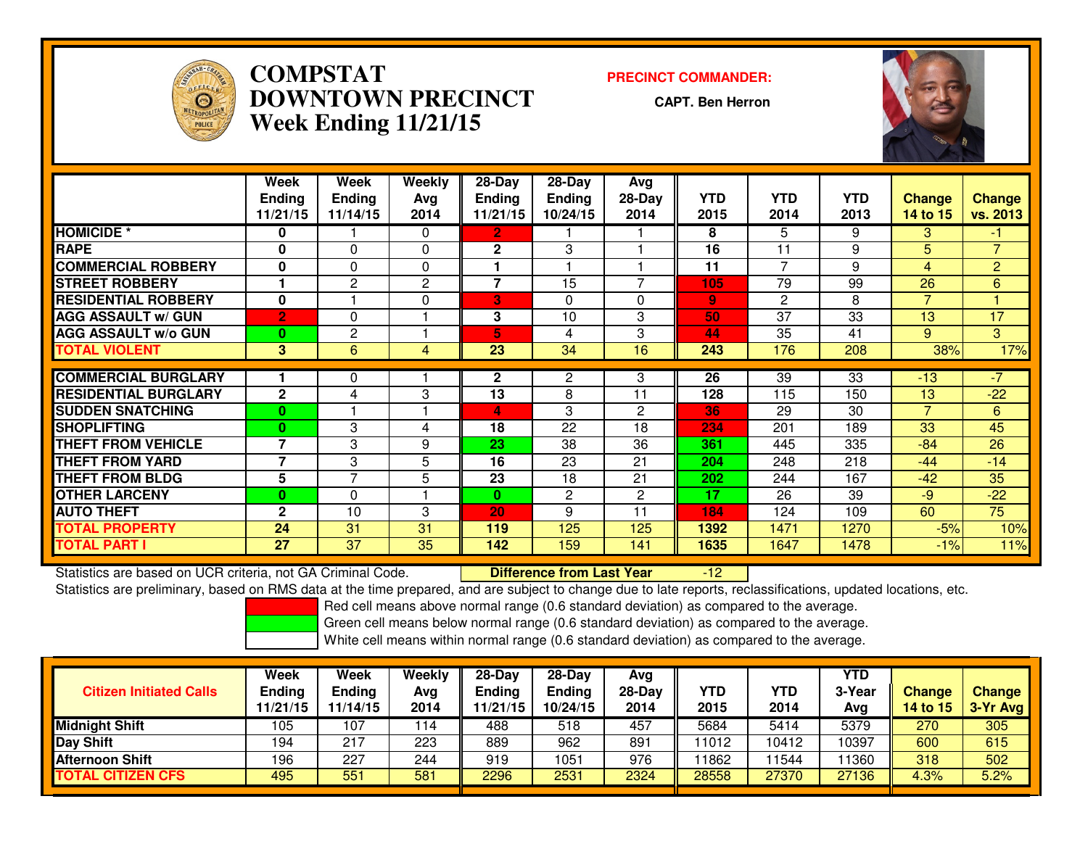

## **COMPSTAT PRECINCT COMMANDER: DOWNTOWN PRECINCTWeek Ending 11/21/15**

**CAPT. Ben Herron**



|                             | Week           | Week           | <b>Weekly</b> | $28$ -Day     | $28$ -Day     | Avg                      |              |                |            |                |                |
|-----------------------------|----------------|----------------|---------------|---------------|---------------|--------------------------|--------------|----------------|------------|----------------|----------------|
|                             | <b>Ending</b>  | <b>Ending</b>  | Ava           | <b>Ending</b> | <b>Ending</b> | $28-Day$                 | <b>YTD</b>   | <b>YTD</b>     | <b>YTD</b> | <b>Change</b>  | <b>Change</b>  |
|                             | 11/21/15       | 11/14/15       | 2014          | 11/21/15      | 10/24/15      | 2014                     | 2015         | 2014           | 2013       | 14 to 15       | vs. 2013       |
| <b>HOMICIDE *</b>           | 0              |                | $\Omega$      | 2             |               |                          | 8            | 5              | 9          | 3              | $-1$           |
| <b>RAPE</b>                 | 0              | 0              | $\Omega$      | 2             | 3             |                          | 16           | 11             | 9          | 5              | $\overline{7}$ |
| <b>COMMERCIAL ROBBERY</b>   | $\bf{0}$       | 0              | $\Omega$      |               |               |                          | 11           | $\overline{7}$ | 9          | 4              | $\overline{2}$ |
| <b>STREET ROBBERY</b>       |                | $\mathbf{2}$   | 2             | 7             | 15            | $\overline{\phantom{a}}$ | 105          | 79             | 99         | 26             | 6              |
| <b>RESIDENTIAL ROBBERY</b>  | $\bf{0}$       |                | $\Omega$      | 3             | $\Omega$      | $\Omega$                 | $\mathbf{9}$ | $\mathbf{2}$   | 8          | $\overline{7}$ |                |
| <b>AGG ASSAULT w/ GUN</b>   | $\overline{2}$ | 0              |               | 3             | 10            | 3                        | 50           | 37             | 33         | 13             | 17             |
| <b>AGG ASSAULT w/o GUN</b>  | $\bf{0}$       | 2              |               | 5             | 4             | 3                        | 44           | 35             | 41         | 9              | 3              |
| <b>TOTAL VIOLENT</b>        | 3              | 6              | 4             | 23            | 34            | 16                       | 243          | 176            | 208        | 38%            | 17%            |
|                             |                |                |               |               |               |                          |              |                |            |                |                |
| <b>COMMERCIAL BURGLARY</b>  |                | 0              |               | $\mathbf{2}$  | 2             | 3                        | 26           | 39             | 33         | $-13$          | -7             |
| <b>RESIDENTIAL BURGLARY</b> | $\mathbf{2}$   | 4              | 3             | 13            | 8             | 11                       | 128          | 115            | 150        | 13             | $-22$          |
| <b>SUDDEN SNATCHING</b>     | $\bf{0}$       |                |               | 4             | 3             | 2                        | 36           | 29             | 30         | $\overline{7}$ | 6              |
| <b>ISHOPLIFTING</b>         | 0              | 3              | 4             | 18            | 22            | 18                       | 234          | 201            | 189        | 33             | 45             |
| <b>THEFT FROM VEHICLE</b>   | 7              | 3              | 9             | 23            | 38            | 36                       | 361          | 445            | 335        | $-84$          | 26             |
| <b>THEFT FROM YARD</b>      | 7              | 3              | 5             | 16            | 23            | 21                       | 204          | 248            | 218        | $-44$          | $-14$          |
| <b>THEFT FROM BLDG</b>      | 5              | $\overline{7}$ | 5             | 23            | 18            | 21                       | 202          | 244            | 167        | $-42$          | 35             |
| <b>OTHER LARCENY</b>        | $\bf{0}$       | 0              |               | 0             | $\mathbf{2}$  | 2                        | 17           | 26             | 39         | $-9$           | $-22$          |
| <b>AUTO THEFT</b>           | $\mathbf{2}$   | 10             | 3             | 20            | 9             | 11                       | 184          | 124            | 109        | 60             | 75             |
| <b>TOTAL PROPERTY</b>       | 24             | 31             | 31            | 119           | 125           | 125                      | 1392         | 1471           | 1270       | $-5%$          | 10%            |
| <b>TOTAL PART I</b>         | 27             | 37             | 35            | 142           | 159           | 141                      | 1635         | 1647           | 1478       | $-1%$          | 11%            |

Statistics are based on UCR criteria, not GA Criminal Code. **Difference from Last Year**  -12Statistics are preliminary, based on RMS data at the time prepared, and are subject to change due to late reports, reclassifications, updated locations, etc.

Red cell means above normal range (0.6 standard deviation) as compared to the average.

Green cell means below normal range (0.6 standard deviation) as compared to the average.

| <b>Citizen Initiated Calls</b> | Week<br><b>Ending</b><br>11/21/15 | Week<br><b>Ending</b><br>11/14/15 | Weekly<br>Avg<br>2014 | $28-Dav$<br>Ending<br>1/21/15 | $28-Day$<br><b>Ending</b><br>10/24/15 | Avg<br>$28-Day$<br>2014 | YTD<br>2015 | <b>YTD</b><br>2014 | YTD<br>3-Year<br>Avg | <b>Change</b><br>14 to 15 | <b>Change</b><br>3-Yr Avg |
|--------------------------------|-----------------------------------|-----------------------------------|-----------------------|-------------------------------|---------------------------------------|-------------------------|-------------|--------------------|----------------------|---------------------------|---------------------------|
| <b>Midnight Shift</b>          | 105                               | 107                               | 114                   | 488                           | 518                                   | 457                     | 5684        | 5414               | 5379                 | 270                       | 305                       |
| <b>Day Shift</b>               | 194                               | 217                               | 223                   | 889                           | 962                                   | 891                     | 11012       | 10412              | 10397                | 600                       | 615                       |
| <b>Afternoon Shift</b>         | 196                               | 227                               | 244                   | 919                           | 1051                                  | 976                     | 11862       | 1544               | 1360                 | 318                       | 502                       |
| <b>TOTAL CITIZEN CFS</b>       | 495                               | 551                               | 581                   | 2296                          | 2531                                  | 2324                    | 28558       | 27370              | 27136                | 4.3%                      | 5.2%                      |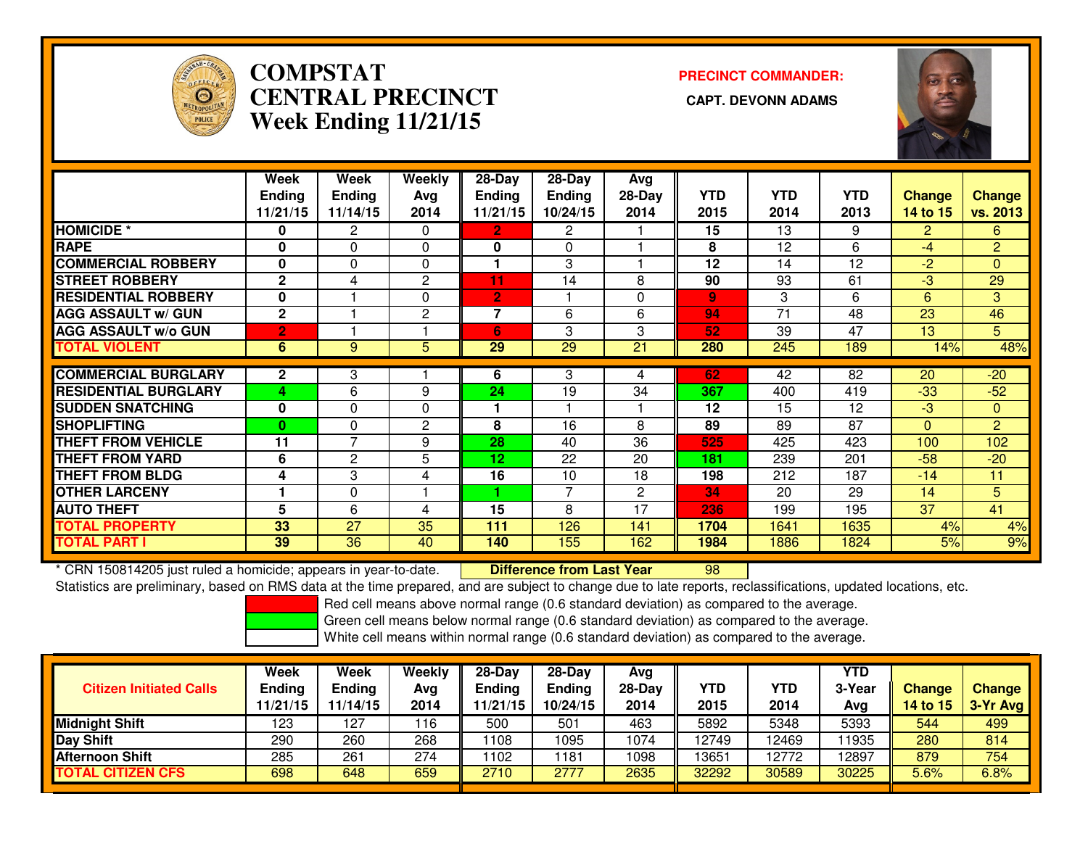

# **COMPSTATCENTRAL PRECINCT Week Ending 11/21/15**

**PRECINCT COMMANDER:**



|                             | Week           | Week           | <b>Weekly</b> | 28-Day         | 28-Day        | Avg            |            |                 |                 |                |                 |
|-----------------------------|----------------|----------------|---------------|----------------|---------------|----------------|------------|-----------------|-----------------|----------------|-----------------|
|                             | <b>Ending</b>  | <b>Ending</b>  | Avg           | <b>Ending</b>  | <b>Ending</b> | $28-Day$       | <b>YTD</b> | <b>YTD</b>      | YTD             | <b>Change</b>  | <b>Change</b>   |
|                             | 11/21/15       | 11/14/15       | 2014          | 11/21/15       | 10/24/15      | 2014           | 2015       | 2014            | 2013            | 14 to 15       | <b>vs. 2013</b> |
| <b>HOMICIDE *</b>           | 0              | $\overline{2}$ | $\Omega$      | $\mathbf{2}$   | $\mathbf{2}$  |                | 15         | $\overline{13}$ | 9               | $\overline{2}$ | 6               |
| <b>RAPE</b>                 | $\bf{0}$       | $\Omega$       | $\mathbf{0}$  | 0              | 0             |                | 8          | 12              | 6               | $-4$           | $\overline{2}$  |
| <b>COMMERCIAL ROBBERY</b>   | $\mathbf{0}$   | $\Omega$       | $\Omega$      | 1              | 3             |                | 12         | 14              | 12              | $-2$           | $\mathbf{0}$    |
| <b>STREET ROBBERY</b>       | $\mathbf{2}$   | 4              | 2             | 11             | 14            | 8              | 90         | 93              | 61              | $-3$           | 29              |
| <b>RESIDENTIAL ROBBERY</b>  | $\mathbf{0}$   |                | $\mathbf{0}$  | $\overline{2}$ |               | 0              | 9          | 3               | 6               | 6              | 3               |
| <b>AGG ASSAULT W/ GUN</b>   | $\mathbf{2}$   |                | 2             | $\overline{7}$ | 6             | 6              | 94         | 71              | 48              | 23             | 46              |
| <b>AGG ASSAULT w/o GUN</b>  | $\overline{2}$ |                |               | 6              | 3             | 3              | 52         | 39              | 47              | 13             | 5 <sup>5</sup>  |
| <b>TOTAL VIOLENT</b>        | 6              | 9              | 5             | 29             | 29            | 21             | 280        | 245             | 189             | 14%            | 48%             |
| <b>COMMERCIAL BURGLARY</b>  | $\mathbf{2}$   | 3              |               | 6              | 3             |                | 62         | 42              | 82              | 20             | $-20$           |
|                             |                |                |               |                |               | 4              |            |                 |                 |                |                 |
| <b>RESIDENTIAL BURGLARY</b> | 4              | 6              | 9             | 24             | 19            | 34             | 367        | 400             | 419             | $-33$          | $-52$           |
| <b>SUDDEN SNATCHING</b>     | $\bf{0}$       | 0              | $\Omega$      | 1              |               |                | 12         | 15              | 12              | $-3$           | $\mathbf{0}$    |
| <b>SHOPLIFTING</b>          | $\bf{0}$       | $\Omega$       | $\mathbf{2}$  | 8              | 16            | 8              | 89         | 89              | $\overline{87}$ | $\Omega$       | $\overline{2}$  |
| <b>THEFT FROM VEHICLE</b>   | 11             | $\overline{7}$ | 9             | 28             | 40            | 36             | 525        | 425             | 423             | 100            | 102             |
| <b>THEFT FROM YARD</b>      | 6              | 2              | 5             | 12             | 22            | 20             | 181        | 239             | 201             | $-58$          | $-20$           |
| <b>THEFT FROM BLDG</b>      | 4              | 3              | 4             | 16             | 10            | 18             | 198        | 212             | 187             | $-14$          | 11              |
| <b>OTHER LARCENY</b>        |                | 0              |               |                | 7             | $\overline{2}$ | 34         | 20              | 29              | 14             | 5               |
| <b>AUTO THEFT</b>           | 5              | 6              | 4             | 15             | 8             | 17             | 236        | 199             | 195             | 37             | 41              |
| <b>TOTAL PROPERTY</b>       | 33             | 27             | 35            | 111            | 126           | 141            | 1704       | 1641            | 1635            | 4%             | 4%              |
| <b>TOTAL PART I</b>         | 39             | 36             | 40            | 140            | 155           | 162            | 1984       | 1886            | 1824            | 5%             | 9%              |

\* CRN 150814205 just ruled a homicide; appears in year-to-date. **| Difference from Last Year** \* CRN 150814205 just ruled a homicide; appears in year-to-date. **Difference from Last Year Schang** D8 Page Dassifications, updated locations, etc.<br>Statistics are preliminary, based on RMS data at the time prepared, and are

Red cell means above normal range (0.6 standard deviation) as compared to the average.

Green cell means below normal range (0.6 standard deviation) as compared to the average.

| <b>Citizen Initiated Calls</b> | Week<br><b>Ending</b><br>11/21/15 | Week<br><b>Ending</b><br>11/14/15 | Weekly<br>Avg<br>2014 | 28-Day<br><b>Ending</b><br>1/21/15 | $28-Dav$<br><b>Ending</b><br>10/24/15 | Ava<br>$28-Day$<br>2014 | <b>YTD</b><br>2015 | YTD<br>2014 | YTD<br>3-Year<br>Avg | <b>Change</b><br>14 to 15 | <b>Change</b><br>3-Yr Avg |
|--------------------------------|-----------------------------------|-----------------------------------|-----------------------|------------------------------------|---------------------------------------|-------------------------|--------------------|-------------|----------------------|---------------------------|---------------------------|
| Midnight Shift                 | 123                               | 127                               | 116                   | 500                                | 501                                   | 463                     | 5892               | 5348        | 5393                 | 544                       | 499                       |
| Day Shift                      | 290                               | 260                               | 268                   | 1108                               | 095                                   | 1074                    | 12749              | 12469       | 11935                | 280                       | 814                       |
| Afternoon Shift                | 285                               | 261                               | 274                   | 1102                               | 181                                   | 1098                    | 13651              | 12772       | 12897                | 879                       | 754                       |
| <b>TOTAL CITIZEN CFS</b>       | 698                               | 648                               | 659                   | 2710                               | 2777                                  | 2635                    | 32292              | 30589       | 30225                | 5.6%                      | 6.8%                      |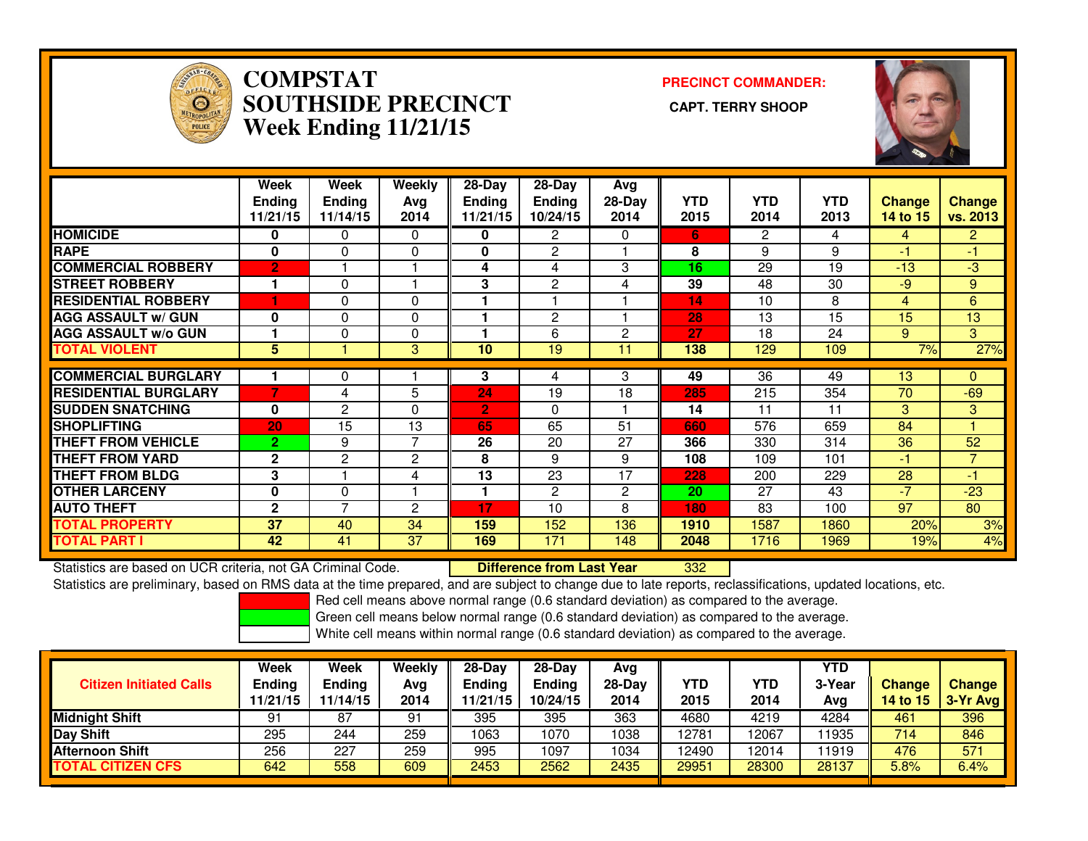

### **COMPSTAT PRECINCT COMMANDER: SOUTHSIDE PRECINCT CAPT. TERRY SHOOPWeek Ending 11/21/15**



|                             | Week<br><b>Ending</b><br>11/21/15 | Week<br><b>Ending</b><br>11/14/15 | Weekly<br>Avg<br>2014 | $28-Day$<br>Ending<br>11/21/15 | $28-Day$<br><b>Ending</b><br>10/24/15 | Avg<br>28-Day<br>2014 | <b>YTD</b><br>2015 | <b>YTD</b><br>2014 | <b>YTD</b><br>2013 | <b>Change</b><br>14 to 15 | <b>Change</b><br>vs. 2013 |
|-----------------------------|-----------------------------------|-----------------------------------|-----------------------|--------------------------------|---------------------------------------|-----------------------|--------------------|--------------------|--------------------|---------------------------|---------------------------|
| <b>HOMICIDE</b>             | 0                                 | 0                                 | 0                     | 0                              | 2                                     | 0                     | 6.                 | $\overline{2}$     | 4                  | 4                         | $\overline{2}$            |
| <b>RAPE</b>                 | 0                                 | 0                                 | 0                     | 0                              | 2                                     |                       | 8                  | 9                  | 9                  | -1                        | -1                        |
| <b>COMMERCIAL ROBBERY</b>   | $\overline{2}$                    |                                   |                       | 4                              | 4                                     | 3                     | 16                 | 29                 | 19                 | $-13$                     | $-3$                      |
| <b>STREET ROBBERY</b>       | 1                                 | 0                                 |                       | 3                              | 2                                     | 4                     | 39                 | 48                 | 30                 | $-9$                      | 9                         |
| <b>RESIDENTIAL ROBBERY</b>  | ٠                                 | $\Omega$                          | 0                     |                                |                                       |                       | 14                 | 10                 | 8                  | 4                         | 6                         |
| <b>AGG ASSAULT w/ GUN</b>   | $\bf{0}$                          | 0                                 | 0                     |                                | 2                                     |                       | 28                 | 13                 | 15                 | 15                        | 13                        |
| <b>AGG ASSAULT w/o GUN</b>  |                                   | $\Omega$                          | 0                     |                                | 6                                     | $\overline{2}$        | 27                 | 18                 | 24                 | 9                         | 3                         |
| <b>TOTAL VIOLENT</b>        | 5                                 |                                   | 3                     | 10                             | 19                                    | 11                    | 138                | 129                | 109                | 7%                        | 27%                       |
| <b>COMMERCIAL BURGLARY</b>  |                                   | 0                                 |                       | 3                              | 4                                     | 3                     | 49                 | 36                 | 49                 | 13                        | 0                         |
| <b>RESIDENTIAL BURGLARY</b> | 7                                 | 4                                 | 5                     | 24                             | 19                                    | 18                    | 285                | 215                | 354                | 70                        | $-69$                     |
| <b>ISUDDEN SNATCHING</b>    | $\bf{0}$                          | 2                                 | 0                     | $\overline{2}$                 | $\Omega$                              |                       | 14                 | 11                 | 11                 | 3                         | 3                         |
| <b>SHOPLIFTING</b>          | 20                                | 15                                | 13                    | 65                             | 65                                    | 51                    | 660                | 576                | 659                | 84                        |                           |
| <b>THEFT FROM VEHICLE</b>   | $\overline{2}$                    | 9                                 | 7                     | 26                             | 20                                    | 27                    | 366                | 330                | 314                | 36                        | 52                        |
| <b>THEFT FROM YARD</b>      | $\mathbf{2}$                      | $\overline{2}$                    | $\overline{2}$        | 8                              | 9                                     | 9                     | 108                | 109                | 101                | -1                        | $\overline{7}$            |
| <b>THEFT FROM BLDG</b>      | 3                                 |                                   | 4                     | 13                             | 23                                    | 17                    | 228                | 200                | 229                | 28                        | $-1$                      |
| <b>OTHER LARCENY</b>        | 0                                 | 0                                 | н                     |                                | 2                                     | $\overline{2}$        | 20                 | 27                 | 43                 | $\overline{7}$            | $-23$                     |
| <b>AUTO THEFT</b>           | $\mathbf{2}$                      | $\overline{\phantom{a}}$          | 2                     | 17                             | 10                                    | 8                     | 180                | 83                 | 100                | 97                        | 80                        |
| <b>TOTAL PROPERTY</b>       | 37                                | 40                                | 34                    | 159                            | 152                                   | 136                   | 1910               | 1587               | 1860               | 20%                       | 3%                        |
| <b>TOTAL PART I</b>         | 42                                | 41                                | 37                    | 169                            | 171                                   | 148                   | 2048               | 1716               | 1969               | 19%                       | 4%                        |

Statistics are based on UCR criteria, not GA Criminal Code. **Difference from Last Year** 

<sup>332</sup>

Statistics are preliminary, based on RMS data at the time prepared, and are subject to change due to late reports, reclassifications, updated locations, etc.

Red cell means above normal range (0.6 standard deviation) as compared to the average.

Green cell means below normal range (0.6 standard deviation) as compared to the average.

| <b>Citizen Initiated Calls</b> | <b>Week</b><br><b>Ending</b><br>11/21/15 | <b>Week</b><br><b>Ending</b><br>11/14/15 | Weekly<br>Avg<br>2014 | $28-Dav$<br><b>Ending</b><br>11/21/15 | $28-Dav$<br><b>Ending</b><br>10/24/15 | Ava<br>28-Dav<br>2014 | YTD<br>2015 | YTD<br>2014 | YTD<br>3-Year<br>Ava | <b>Change</b><br><b>14 to 15</b> | <b>Change</b><br>3-Yr Avg |
|--------------------------------|------------------------------------------|------------------------------------------|-----------------------|---------------------------------------|---------------------------------------|-----------------------|-------------|-------------|----------------------|----------------------------------|---------------------------|
| <b>Midnight Shift</b>          | 91                                       | 87                                       | 91                    | 395                                   | 395                                   | 363                   | 4680        | 4219        | 4284                 | 461                              | 396                       |
| <b>Day Shift</b>               | 295                                      | 244                                      | 259                   | 1063                                  | 1070                                  | 1038                  | 12781       | 2067        | 11935                | 714                              | 846                       |
| <b>Afternoon Shift</b>         | 256                                      | 227                                      | 259                   | 995                                   | 1097                                  | 1034                  | 12490       | 12014       | 11919                | 476                              | 571                       |
| <b>TOTAL CITIZEN CFS</b>       | 642                                      | 558                                      | 609                   | 2453                                  | 2562                                  | 2435                  | 29951       | 28300       | 28137                | 5.8%                             | 6.4%                      |